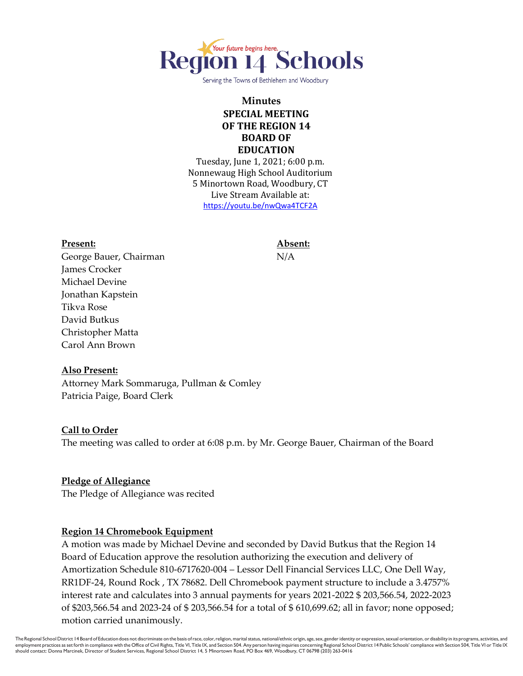

Serving the Towns of Bethlehem and Woodbury

# **Minutes SPECIAL MEETING OF THE REGION 14 BOARD OF EDUCATION**

Tuesday, June 1, 2021; 6:00 p.m. Nonnewaug High School Auditorium 5 Minortown Road, Woodbury, CT Live Stream Available at: <https://youtu.be/nwQwa4TCF2A>

**Present: Absent:** George Bauer, Chairman N/A James Crocker Michael Devine Jonathan Kapstein Tikva Rose David Butkus Christopher Matta Carol Ann Brown

# **Also Present:**

Attorney Mark Sommaruga, Pullman & Comley Patricia Paige, Board Clerk

### **Call to Order**

The meeting was called to order at 6:08 p.m. by Mr. George Bauer, Chairman of the Board

**Pledge of Allegiance** The Pledge of Allegiance was recited

### **Region 14 Chromebook Equipment**

A motion was made by Michael Devine and seconded by David Butkus that the Region 14 Board of Education approve the resolution authorizing the execution and delivery of Amortization Schedule 810-6717620-004 – Lessor Dell Financial Services LLC, One Dell Way, RR1DF-24, Round Rock , TX 78682. Dell Chromebook payment structure to include a 3.4757% interest rate and calculates into 3 annual payments for years 2021-2022 \$ 203,566.54, 2022-2023 of \$203,566.54 and 2023-24 of \$ 203,566.54 for a total of \$ 610,699.62; all in favor; none opposed; motion carried unanimously.